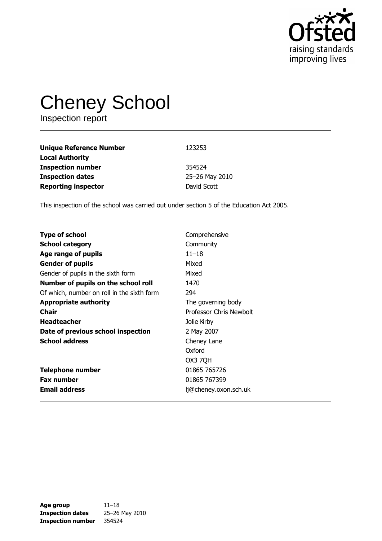

# Cheney School

| <b>Unique Reference Number</b> | 123253         |
|--------------------------------|----------------|
| <b>Local Authority</b>         |                |
| <b>Inspection number</b>       | 354524         |
| <b>Inspection dates</b>        | 25-26 May 2010 |
| <b>Reporting inspector</b>     | David Scott    |

This inspection of the school was carried out under section 5 of the Education Act 2005.

| <b>Type of school</b>                      | Comprehensive           |
|--------------------------------------------|-------------------------|
| <b>School category</b>                     | Community               |
| Age range of pupils                        | $11 - 18$               |
| <b>Gender of pupils</b>                    | Mixed                   |
| Gender of pupils in the sixth form         | Mixed                   |
| Number of pupils on the school roll        | 1470                    |
| Of which, number on roll in the sixth form | 294                     |
| <b>Appropriate authority</b>               | The governing body      |
| Chair                                      | Professor Chris Newbolt |
| <b>Headteacher</b>                         | Jolie Kirby             |
| Date of previous school inspection         | 2 May 2007              |
| <b>School address</b>                      | Cheney Lane             |
|                                            | Oxford                  |
|                                            | OX3 7QH                 |
| <b>Telephone number</b>                    | 01865 765726            |
| <b>Fax number</b>                          | 01865 767399            |
| <b>Email address</b>                       | lj@cheney.oxon.sch.uk   |

| Age group                | $11 - 18$      |
|--------------------------|----------------|
| <b>Inspection dates</b>  | 25-26 May 2010 |
| <b>Inspection number</b> | 354524         |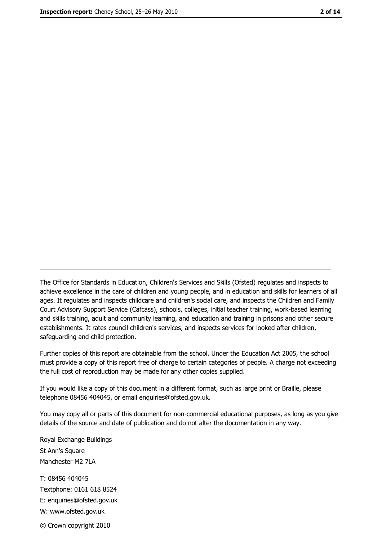The Office for Standards in Education, Children's Services and Skills (Ofsted) regulates and inspects to achieve excellence in the care of children and young people, and in education and skills for learners of all ages. It regulates and inspects childcare and children's social care, and inspects the Children and Family Court Advisory Support Service (Cafcass), schools, colleges, initial teacher training, work-based learning and skills training, adult and community learning, and education and training in prisons and other secure establishments. It rates council children's services, and inspects services for looked after children, safequarding and child protection.

Further copies of this report are obtainable from the school. Under the Education Act 2005, the school must provide a copy of this report free of charge to certain categories of people. A charge not exceeding the full cost of reproduction may be made for any other copies supplied.

If you would like a copy of this document in a different format, such as large print or Braille, please telephone 08456 404045, or email enquiries@ofsted.gov.uk.

You may copy all or parts of this document for non-commercial educational purposes, as long as you give details of the source and date of publication and do not alter the documentation in any way.

Royal Exchange Buildings St Ann's Square Manchester M2 7LA T: 08456 404045 Textphone: 0161 618 8524 E: enquiries@ofsted.gov.uk W: www.ofsted.gov.uk © Crown copyright 2010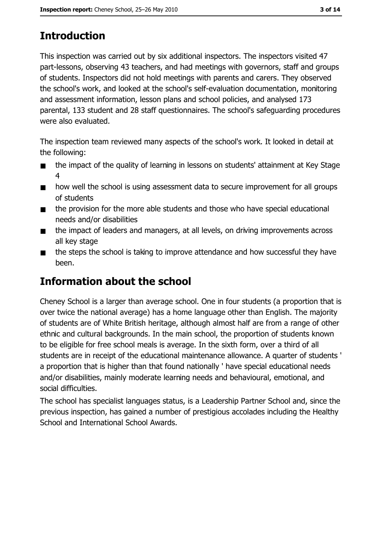# **Introduction**

This inspection was carried out by six additional inspectors. The inspectors visited 47 part-lessons, observing 43 teachers, and had meetings with governors, staff and groups of students. Inspectors did not hold meetings with parents and carers. They observed the school's work, and looked at the school's self-evaluation documentation, monitoring and assessment information, lesson plans and school policies, and analysed 173 parental, 133 student and 28 staff questionnaires. The school's safeguarding procedures were also evaluated.

The inspection team reviewed many aspects of the school's work. It looked in detail at the following:

- the impact of the quality of learning in lessons on students' attainment at Key Stage  $\blacksquare$  $\overline{4}$
- how well the school is using assessment data to secure improvement for all groups  $\blacksquare$ of students
- the provision for the more able students and those who have special educational  $\blacksquare$ needs and/or disabilities
- the impact of leaders and managers, at all levels, on driving improvements across  $\blacksquare$ all key stage
- the steps the school is taking to improve attendance and how successful they have  $\blacksquare$ been.

## Information about the school

Cheney School is a larger than average school. One in four students (a proportion that is over twice the national average) has a home language other than English. The majority of students are of White British heritage, although almost half are from a range of other ethnic and cultural backgrounds. In the main school, the proportion of students known to be eligible for free school meals is average. In the sixth form, over a third of all students are in receipt of the educational maintenance allowance. A quarter of students ' a proportion that is higher than that found nationally ' have special educational needs and/or disabilities, mainly moderate learning needs and behavioural, emotional, and social difficulties.

The school has specialist languages status, is a Leadership Partner School and, since the previous inspection, has gained a number of prestigious accolades including the Healthy School and International School Awards.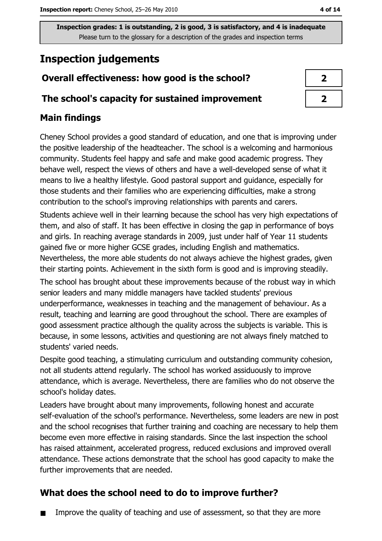# **Inspection judgements**

## Overall effectiveness: how good is the school?

## The school's capacity for sustained improvement

## **Main findings**

Cheney School provides a good standard of education, and one that is improving under the positive leadership of the headteacher. The school is a welcoming and harmonious community. Students feel happy and safe and make good academic progress. They behave well, respect the views of others and have a well-developed sense of what it means to live a healthy lifestyle. Good pastoral support and quidance, especially for those students and their families who are experiencing difficulties, make a strong contribution to the school's improving relationships with parents and carers.

Students achieve well in their learning because the school has very high expectations of them, and also of staff. It has been effective in closing the gap in performance of boys and girls. In reaching average standards in 2009, just under half of Year 11 students gained five or more higher GCSE grades, including English and mathematics. Nevertheless, the more able students do not always achieve the highest grades, given their starting points. Achievement in the sixth form is good and is improving steadily.

The school has brought about these improvements because of the robust way in which senior leaders and many middle managers have tackled students' previous underperformance, weaknesses in teaching and the management of behaviour. As a result, teaching and learning are good throughout the school. There are examples of good assessment practice although the quality across the subjects is variable. This is because, in some lessons, activities and questioning are not always finely matched to students' varied needs.

Despite good teaching, a stimulating curriculum and outstanding community cohesion, not all students attend regularly. The school has worked assiduously to improve attendance, which is average. Nevertheless, there are families who do not observe the school's holiday dates.

Leaders have brought about many improvements, following honest and accurate self-evaluation of the school's performance. Nevertheless, some leaders are new in post and the school recognises that further training and coaching are necessary to help them become even more effective in raising standards. Since the last inspection the school has raised attainment, accelerated progress, reduced exclusions and improved overall attendance. These actions demonstrate that the school has good capacity to make the further improvements that are needed.

## What does the school need to do to improve further?

Improve the quality of teaching and use of assessment, so that they are more  $\blacksquare$ 

| 7 |  |
|---|--|
| ↗ |  |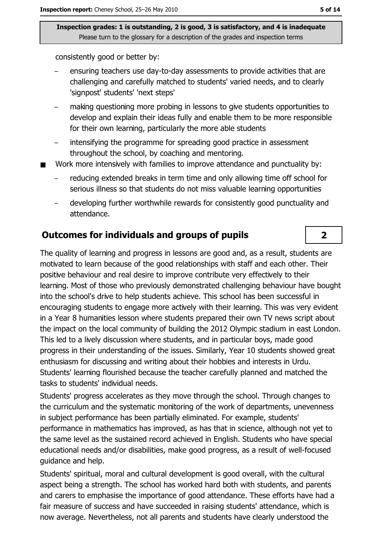consistently good or better by:

- ensuring teachers use day-to-day assessments to provide activities that are challenging and carefully matched to students' varied needs, and to clearly 'signpost' students' 'next steps'
- making questioning more probing in lessons to give students opportunities to develop and explain their ideas fully and enable them to be more responsible for their own learning, particularly the more able students
- intensifying the programme for spreading good practice in assessment throughout the school, by coaching and mentoring.
- Work more intensively with families to improve attendance and punctuality by:
	- reducing extended breaks in term time and only allowing time off school for serious illness so that students do not miss valuable learning opportunities
	- developing further worthwhile rewards for consistently good punctuality and attendance.

### **Outcomes for individuals and groups of pupils**

The quality of learning and progress in lessons are good and, as a result, students are motivated to learn because of the good relationships with staff and each other. Their positive behaviour and real desire to improve contribute very effectively to their learning. Most of those who previously demonstrated challenging behaviour have bought into the school's drive to help students achieve. This school has been successful in encouraging students to engage more actively with their learning. This was very evident in a Year 8 humanities lesson where students prepared their own TV news script about the impact on the local community of building the 2012 Olympic stadium in east London. This led to a lively discussion where students, and in particular boys, made good progress in their understanding of the issues. Similarly, Year 10 students showed great enthusiasm for discussing and writing about their hobbies and interests in Urdu. Students' learning flourished because the teacher carefully planned and matched the tasks to students' individual needs.

Students' progress accelerates as they move through the school. Through changes to the curriculum and the systematic monitoring of the work of departments, unevenness in subiect performance has been partially eliminated. For example, students' performance in mathematics has improved, as has that in science, although not yet to the same level as the sustained record achieved in English. Students who have special educational needs and/or disabilities, make good progress, as a result of well-focused quidance and help.

Students' spiritual, moral and cultural development is good overall, with the cultural aspect being a strength. The school has worked hard both with students, and parents and carers to emphasise the importance of good attendance. These efforts have had a fair measure of success and have succeeded in raising students' attendance, which is now average. Nevertheless, not all parents and students have clearly understood the

 $\overline{2}$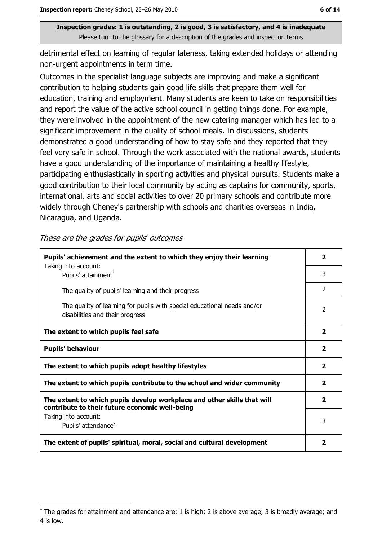detrimental effect on learning of regular lateness, taking extended holidays or attending non-urgent appointments in term time.

Outcomes in the specialist language subjects are improving and make a significant contribution to helping students gain good life skills that prepare them well for education, training and employment. Many students are keen to take on responsibilities and report the value of the active school council in getting things done. For example, they were involved in the appointment of the new catering manager which has led to a significant improvement in the quality of school meals. In discussions, students demonstrated a good understanding of how to stay safe and they reported that they feel very safe in school. Through the work associated with the national awards, students have a good understanding of the importance of maintaining a healthy lifestyle, participating enthusiastically in sporting activities and physical pursuits. Students make a good contribution to their local community by acting as captains for community, sports, international, arts and social activities to over 20 primary schools and contribute more widely through Cheney's partnership with schools and charities overseas in India, Nicaragua, and Uganda.

#### These are the grades for pupils' outcomes

| Pupils' achievement and the extent to which they enjoy their learning                                                     |                         |  |
|---------------------------------------------------------------------------------------------------------------------------|-------------------------|--|
| Taking into account:<br>Pupils' attainment <sup>1</sup>                                                                   | 3                       |  |
| The quality of pupils' learning and their progress                                                                        | $\mathcal{P}$           |  |
| The quality of learning for pupils with special educational needs and/or<br>disabilities and their progress               | $\mathcal{P}$           |  |
| The extent to which pupils feel safe                                                                                      | $\overline{\mathbf{2}}$ |  |
| <b>Pupils' behaviour</b>                                                                                                  | $\overline{\mathbf{2}}$ |  |
| The extent to which pupils adopt healthy lifestyles                                                                       | $\mathbf{2}$            |  |
| The extent to which pupils contribute to the school and wider community                                                   | 2                       |  |
| The extent to which pupils develop workplace and other skills that will<br>contribute to their future economic well-being | $\overline{\mathbf{2}}$ |  |
| Taking into account:<br>Pupils' attendance <sup>1</sup>                                                                   | 3                       |  |
| The extent of pupils' spiritual, moral, social and cultural development                                                   | 2                       |  |

The grades for attainment and attendance are: 1 is high; 2 is above average; 3 is broadly average; and 4 is low.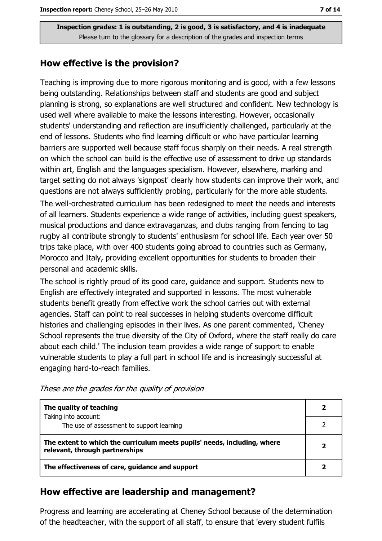## How effective is the provision?

Teaching is improving due to more rigorous monitoring and is good, with a few lessons being outstanding. Relationships between staff and students are good and subject planning is strong, so explanations are well structured and confident. New technology is used well where available to make the lessons interesting. However, occasionally students' understanding and reflection are insufficiently challenged, particularly at the end of lessons. Students who find learning difficult or who have particular learning barriers are supported well because staff focus sharply on their needs. A real strength on which the school can build is the effective use of assessment to drive up standards within art, English and the languages specialism. However, elsewhere, marking and target setting do not always 'signpost' clearly how students can improve their work, and questions are not always sufficiently probing, particularly for the more able students.

The well-orchestrated curriculum has been redesigned to meet the needs and interests of all learners. Students experience a wide range of activities, including quest speakers, musical productions and dance extravaganzas, and clubs ranging from fencing to tag rugby all contribute strongly to students' enthusiasm for school life. Each year over 50 trips take place, with over 400 students going abroad to countries such as Germany, Morocco and Italy, providing excellent opportunities for students to broaden their personal and academic skills.

The school is rightly proud of its good care, guidance and support. Students new to English are effectively integrated and supported in lessons. The most vulnerable students benefit greatly from effective work the school carries out with external agencies. Staff can point to real successes in helping students overcome difficult histories and challenging episodes in their lives. As one parent commented, 'Cheney School represents the true diversity of the City of Oxford, where the staff really do care about each child.' The inclusion team provides a wide range of support to enable vulnerable students to play a full part in school life and is increasingly successful at engaging hard-to-reach families.

| The quality of teaching                                                                                    |  |
|------------------------------------------------------------------------------------------------------------|--|
| Taking into account:<br>The use of assessment to support learning                                          |  |
| The extent to which the curriculum meets pupils' needs, including, where<br>relevant, through partnerships |  |
| The effectiveness of care, guidance and support                                                            |  |

These are the grades for the quality of provision

## How effective are leadership and management?

Progress and learning are accelerating at Cheney School because of the determination of the headteacher, with the support of all staff, to ensure that 'every student fulfils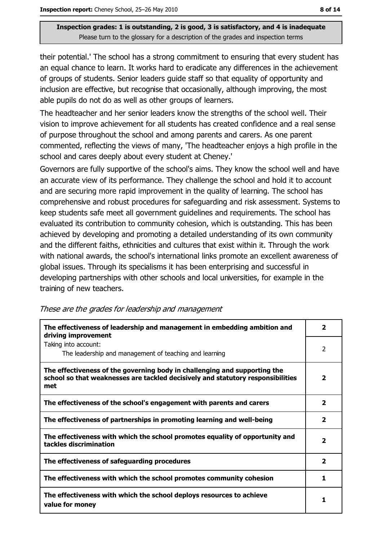their potential.' The school has a strong commitment to ensuring that every student has an equal chance to learn. It works hard to eradicate any differences in the achievement of groups of students. Senior leaders guide staff so that equality of opportunity and inclusion are effective, but recognise that occasionally, although improving, the most able pupils do not do as well as other groups of learners.

The headteacher and her senior leaders know the strengths of the school well. Their vision to improve achievement for all students has created confidence and a real sense of purpose throughout the school and among parents and carers. As one parent commented, reflecting the views of many, 'The headteacher enjoys a high profile in the school and cares deeply about every student at Cheney.'

Governors are fully supportive of the school's aims. They know the school well and have an accurate view of its performance. They challenge the school and hold it to account and are securing more rapid improvement in the quality of learning. The school has comprehensive and robust procedures for safeguarding and risk assessment. Systems to keep students safe meet all government guidelines and requirements. The school has evaluated its contribution to community cohesion, which is outstanding. This has been achieved by developing and promoting a detailed understanding of its own community and the different faiths, ethnicities and cultures that exist within it. Through the work with national awards, the school's international links promote an excellent awareness of global issues. Through its specialisms it has been enterprising and successful in developing partnerships with other schools and local universities, for example in the training of new teachers.

| The effectiveness of leadership and management in embedding ambition and<br>driving improvement                                                                     | $\overline{\mathbf{2}}$ |
|---------------------------------------------------------------------------------------------------------------------------------------------------------------------|-------------------------|
| Taking into account:<br>The leadership and management of teaching and learning                                                                                      | 2                       |
| The effectiveness of the governing body in challenging and supporting the<br>school so that weaknesses are tackled decisively and statutory responsibilities<br>met | $\overline{\mathbf{2}}$ |
| The effectiveness of the school's engagement with parents and carers                                                                                                | $\overline{\mathbf{2}}$ |
| The effectiveness of partnerships in promoting learning and well-being                                                                                              | $\overline{\mathbf{2}}$ |
| The effectiveness with which the school promotes equality of opportunity and<br>tackles discrimination                                                              | $\overline{\mathbf{2}}$ |
| The effectiveness of safeguarding procedures                                                                                                                        | $\overline{2}$          |
| The effectiveness with which the school promotes community cohesion                                                                                                 | 1                       |
| The effectiveness with which the school deploys resources to achieve<br>value for money                                                                             |                         |

These are the grades for leadership and management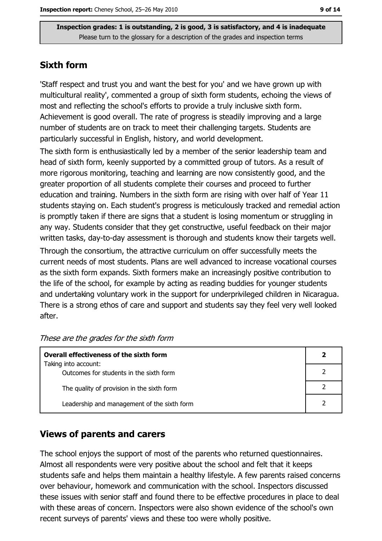## **Sixth form**

'Staff respect and trust you and want the best for you' and we have grown up with multicultural reality', commented a group of sixth form students, echoing the views of most and reflecting the school's efforts to provide a truly inclusive sixth form. Achievement is good overall. The rate of progress is steadily improving and a large number of students are on track to meet their challenging targets. Students are particularly successful in English, history, and world development.

The sixth form is enthusiastically led by a member of the senior leadership team and head of sixth form, keenly supported by a committed group of tutors. As a result of more rigorous monitoring, teaching and learning are now consistently good, and the greater proportion of all students complete their courses and proceed to further education and training. Numbers in the sixth form are rising with over half of Year 11 students staying on. Each student's progress is meticulously tracked and remedial action is promptly taken if there are signs that a student is losing momentum or struggling in any way. Students consider that they get constructive, useful feedback on their major written tasks, day-to-day assessment is thorough and students know their targets well.

Through the consortium, the attractive curriculum on offer successfully meets the current needs of most students. Plans are well advanced to increase vocational courses as the sixth form expands. Sixth formers make an increasingly positive contribution to the life of the school, for example by acting as reading buddies for younger students and undertaking voluntary work in the support for underprivileged children in Nicaragua. There is a strong ethos of care and support and students say they feel very well looked after.

| Overall effectiveness of the sixth form     |  |
|---------------------------------------------|--|
| Taking into account:                        |  |
| Outcomes for students in the sixth form     |  |
| The quality of provision in the sixth form  |  |
| Leadership and management of the sixth form |  |

|  | These are the grades for the sixth form |  |  |
|--|-----------------------------------------|--|--|
|  |                                         |  |  |

## **Views of parents and carers**

The school enjoys the support of most of the parents who returned questionnaires. Almost all respondents were very positive about the school and felt that it keeps students safe and helps them maintain a healthy lifestyle. A few parents raised concerns over behaviour, homework and communication with the school. Inspectors discussed these issues with senior staff and found there to be effective procedures in place to deal with these areas of concern. Inspectors were also shown evidence of the school's own recent surveys of parents' views and these too were wholly positive.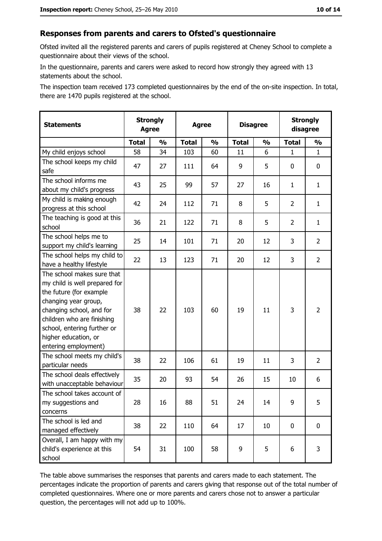#### Responses from parents and carers to Ofsted's questionnaire

Ofsted invited all the registered parents and carers of pupils registered at Cheney School to complete a questionnaire about their views of the school.

In the questionnaire, parents and carers were asked to record how strongly they agreed with 13 statements about the school.

The inspection team received 173 completed questionnaires by the end of the on-site inspection. In total, there are 1470 pupils registered at the school.

| <b>Statements</b>                                                                                                                                                                                                                                       | <b>Agree</b> | <b>Strongly</b> | <b>Strongly</b><br><b>Disagree</b><br><b>Agree</b><br>disagree |               |              |               |                |                |
|---------------------------------------------------------------------------------------------------------------------------------------------------------------------------------------------------------------------------------------------------------|--------------|-----------------|----------------------------------------------------------------|---------------|--------------|---------------|----------------|----------------|
|                                                                                                                                                                                                                                                         | <b>Total</b> | $\frac{1}{2}$   | <b>Total</b>                                                   | $\frac{0}{0}$ | <b>Total</b> | $\frac{1}{2}$ | <b>Total</b>   | $\frac{1}{2}$  |
| My child enjoys school                                                                                                                                                                                                                                  | 58           | 34              | 103                                                            | 60            | 11           | 6             | $\mathbf{1}$   | $\mathbf{1}$   |
| The school keeps my child<br>safe                                                                                                                                                                                                                       | 47           | 27              | 111                                                            | 64            | 9            | 5             | 0              | 0              |
| The school informs me<br>about my child's progress                                                                                                                                                                                                      | 43           | 25              | 99                                                             | 57            | 27           | 16            | 1              | $\mathbf{1}$   |
| My child is making enough<br>progress at this school                                                                                                                                                                                                    | 42           | 24              | 112                                                            | 71            | 8            | 5             | $\overline{2}$ | $\mathbf{1}$   |
| The teaching is good at this<br>school                                                                                                                                                                                                                  | 36           | 21              | 122                                                            | 71            | 8            | 5             | 2              | $\mathbf{1}$   |
| The school helps me to<br>support my child's learning                                                                                                                                                                                                   | 25           | 14              | 101                                                            | 71            | 20           | 12            | 3              | $\overline{2}$ |
| The school helps my child to<br>have a healthy lifestyle                                                                                                                                                                                                | 22           | 13              | 123                                                            | 71            | 20           | 12            | 3              | $\overline{2}$ |
| The school makes sure that<br>my child is well prepared for<br>the future (for example<br>changing year group,<br>changing school, and for<br>children who are finishing<br>school, entering further or<br>higher education, or<br>entering employment) | 38           | 22              | 103                                                            | 60            | 19           | 11            | 3              | $\overline{2}$ |
| The school meets my child's<br>particular needs                                                                                                                                                                                                         | 38           | 22              | 106                                                            | 61            | 19           | 11            | 3              | $\overline{2}$ |
| The school deals effectively<br>with unacceptable behaviour                                                                                                                                                                                             | 35           | 20              | 93                                                             | 54            | 26           | 15            | 10             | 6              |
| The school takes account of<br>my suggestions and<br>concerns                                                                                                                                                                                           | 28           | 16              | 88                                                             | 51            | 24           | 14            | 9              | 5              |
| The school is led and<br>managed effectively                                                                                                                                                                                                            | 38           | 22              | 110                                                            | 64            | 17           | 10            | 0              | $\mathbf 0$    |
| Overall, I am happy with my<br>child's experience at this<br>school                                                                                                                                                                                     | 54           | 31              | 100                                                            | 58            | 9            | 5             | 6              | 3              |

The table above summarises the responses that parents and carers made to each statement. The percentages indicate the proportion of parents and carers giving that response out of the total number of completed questionnaires. Where one or more parents and carers chose not to answer a particular question, the percentages will not add up to 100%.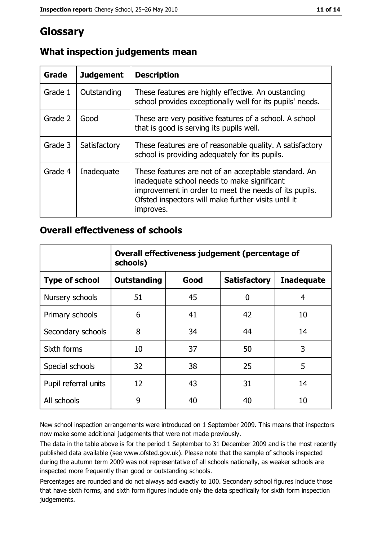# Glossary

| Grade   | <b>Judgement</b> | <b>Description</b>                                                                                                                                                                                                               |
|---------|------------------|----------------------------------------------------------------------------------------------------------------------------------------------------------------------------------------------------------------------------------|
| Grade 1 | Outstanding      | These features are highly effective. An oustanding<br>school provides exceptionally well for its pupils' needs.                                                                                                                  |
| Grade 2 | Good             | These are very positive features of a school. A school<br>that is good is serving its pupils well.                                                                                                                               |
| Grade 3 | Satisfactory     | These features are of reasonable quality. A satisfactory<br>school is providing adequately for its pupils.                                                                                                                       |
| Grade 4 | Inadequate       | These features are not of an acceptable standard. An<br>inadequate school needs to make significant<br>improvement in order to meet the needs of its pupils.<br>Ofsted inspectors will make further visits until it<br>improves. |

## What inspection judgements mean

## **Overall effectiveness of schools**

|                       | Overall effectiveness judgement (percentage of<br>schools) |      |                     |                   |  |  |  |
|-----------------------|------------------------------------------------------------|------|---------------------|-------------------|--|--|--|
| <b>Type of school</b> | <b>Outstanding</b>                                         | Good | <b>Satisfactory</b> | <b>Inadequate</b> |  |  |  |
| Nursery schools       | 51                                                         | 45   | 0                   | 4                 |  |  |  |
| Primary schools       | 6                                                          | 41   | 42                  | 10                |  |  |  |
| Secondary schools     | 8                                                          | 34   | 44                  | 14                |  |  |  |
| Sixth forms           | 10                                                         | 37   | 50                  | 3                 |  |  |  |
| Special schools       | 32                                                         | 38   | 25                  | 5                 |  |  |  |
| Pupil referral units  | 12                                                         | 43   | 31                  | 14                |  |  |  |
| All schools           | 9                                                          | 40   | 40                  | 10                |  |  |  |

New school inspection arrangements were introduced on 1 September 2009. This means that inspectors now make some additional judgements that were not made previously.

The data in the table above is for the period 1 September to 31 December 2009 and is the most recently published data available (see www.ofsted.gov.uk). Please note that the sample of schools inspected during the autumn term 2009 was not representative of all schools nationally, as weaker schools are inspected more frequently than good or outstanding schools.

Percentages are rounded and do not always add exactly to 100. Secondary school figures include those that have sixth forms, and sixth form figures include only the data specifically for sixth form inspection judgements.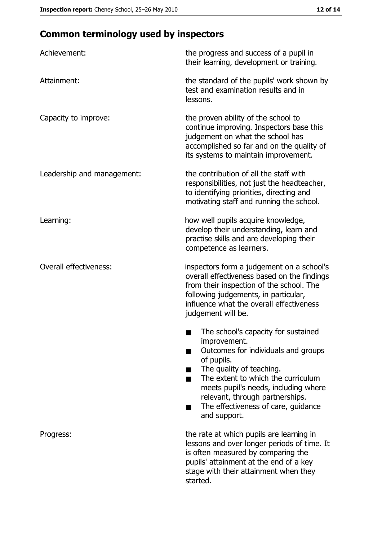# **Common terminology used by inspectors**

| Achievement:                  | the progress and success of a pupil in<br>their learning, development or training.                                                                                                                                                                                                                           |
|-------------------------------|--------------------------------------------------------------------------------------------------------------------------------------------------------------------------------------------------------------------------------------------------------------------------------------------------------------|
| Attainment:                   | the standard of the pupils' work shown by<br>test and examination results and in<br>lessons.                                                                                                                                                                                                                 |
| Capacity to improve:          | the proven ability of the school to<br>continue improving. Inspectors base this<br>judgement on what the school has<br>accomplished so far and on the quality of<br>its systems to maintain improvement.                                                                                                     |
| Leadership and management:    | the contribution of all the staff with<br>responsibilities, not just the headteacher,<br>to identifying priorities, directing and<br>motivating staff and running the school.                                                                                                                                |
| Learning:                     | how well pupils acquire knowledge,<br>develop their understanding, learn and<br>practise skills and are developing their<br>competence as learners.                                                                                                                                                          |
| <b>Overall effectiveness:</b> | inspectors form a judgement on a school's<br>overall effectiveness based on the findings<br>from their inspection of the school. The<br>following judgements, in particular,<br>influence what the overall effectiveness<br>judgement will be.                                                               |
|                               | The school's capacity for sustained<br>improvement.<br>Outcomes for individuals and groups<br>of pupils.<br>The quality of teaching.<br>The extent to which the curriculum<br>meets pupil's needs, including where<br>relevant, through partnerships.<br>The effectiveness of care, guidance<br>and support. |
| Progress:                     | the rate at which pupils are learning in<br>lessons and over longer periods of time. It<br>is often measured by comparing the<br>pupils' attainment at the end of a key<br>stage with their attainment when they<br>started.                                                                                 |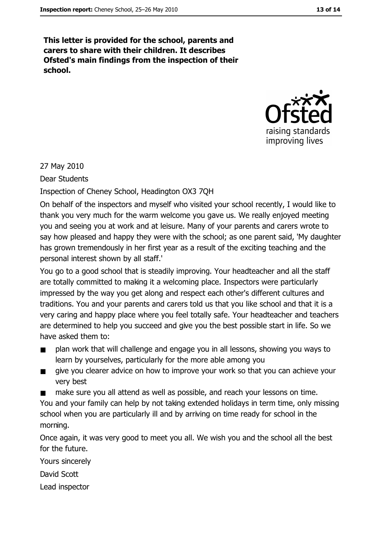This letter is provided for the school, parents and carers to share with their children. It describes Ofsted's main findings from the inspection of their school.



27 May 2010

**Dear Students** 

Inspection of Cheney School, Headington OX3 7QH

On behalf of the inspectors and myself who visited your school recently, I would like to thank you very much for the warm welcome you gave us. We really enjoyed meeting you and seeing you at work and at leisure. Many of your parents and carers wrote to say how pleased and happy they were with the school; as one parent said, 'My daughter has grown tremendously in her first year as a result of the exciting teaching and the personal interest shown by all staff.'

You go to a good school that is steadily improving. Your headteacher and all the staff are totally committed to making it a welcoming place. Inspectors were particularly impressed by the way you get along and respect each other's different cultures and traditions. You and your parents and carers told us that you like school and that it is a very caring and happy place where you feel totally safe. Your headteacher and teachers are determined to help you succeed and give you the best possible start in life. So we have asked them to:

- plan work that will challenge and engage you in all lessons, showing you ways to  $\blacksquare$ learn by yourselves, particularly for the more able among you
- give you clearer advice on how to improve your work so that you can achieve your  $\blacksquare$ very best
- make sure you all attend as well as possible, and reach your lessons on time. You and your family can help by not taking extended holidays in term time, only missing school when you are particularly ill and by arriving on time ready for school in the morning.

Once again, it was very good to meet you all. We wish you and the school all the best for the future.

Yours sincerely

David Scott

Lead inspector